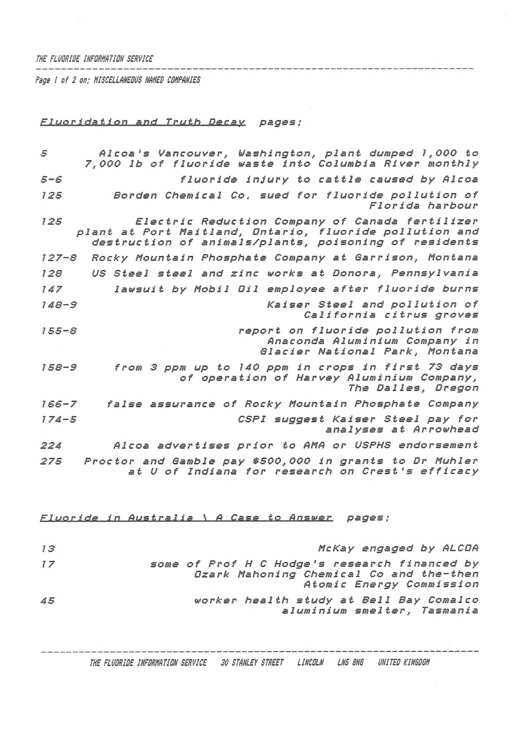## W£ *FLUORIDE INFORNATIllN SERVICE*

*Page <sup>1</sup> of 2 on; MISCELLANEOUS NAMED COMPANIES*

## *FLuorl-dat ion and Truth Decay pages;*

*<sup>5</sup> Alcoa'<sup>s</sup> Vancouver, Washington, plant dumped 1,000 to 7,000 lb of fluoride waste into Columbia River monthly 5-S fluoride injury to cattle caused by Alcoa <sup>125</sup> Borden Chemical Co. sued for fluoride pollution of Florida harbour <sup>125</sup> Electric Reduction Company of Canada fertilizer plant at Port Maitland, Ontario, fluoride pollution and destruction of an i ma <sup>1</sup>s/p<sup>1</sup> ants, poisoning of residents 127-8 Rocky Mountain Phosphate Company at Garrison, Montana 128 US Steel steel and zinc works at Donora, Pennsylvania <sup>147</sup> lawsuit by Mobil Oil employee after fluoride burns 148-8 Kaiser Steel and pollution of California citrus groves 155-8 report on fluoride pollution from Anaconda Aluminium Company in Glacier National Park, Montana 158-8 from <sup>3</sup> ppm up to <sup>140</sup> ppm in crops in first <sup>73</sup> days of operation of Harvey Aluminium Company, The Dalles, Oregon 166-7 false assurance of Rocky Mountain Phosphate Company <sup>1</sup> 74-5 CSPI suggest Kaiser Steel pay for analyses at Arrowhead <sup>224</sup> Alcoa advertises prior to AMA or USPHS endorsement 275 Proctor and Gamble pay \$500,000 in grants to Dr Muhler at <sup>U</sup> of Indiana for research on Crest'<sup>s</sup> efficacy*

*Fluoride in Australia\_\_\...A Ca.s.e to. Answer.. pages ;*

| 13 | McKay engaged by ALCOA                                                                                               |
|----|----------------------------------------------------------------------------------------------------------------------|
| 77 | some of Prof H C Hodge's research financed by<br>Ozark Mahoning Chemical Co and the-then<br>Atomic Energy Commission |
| 45 | worker health study at Bell Bay Comalco<br>aluminium smelter, Tasmania                                               |